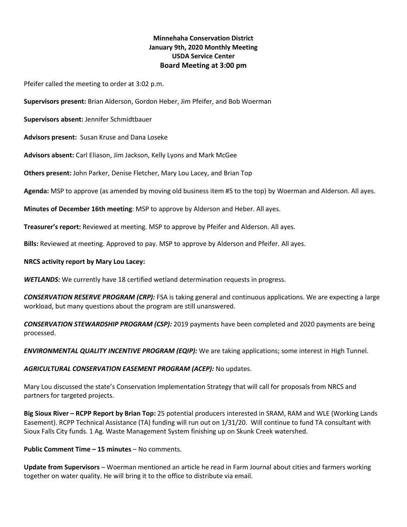# **Minnehaha Conservation District January 9th, 2020 Monthly Meeting USDA Service Center Board Meeting at 3:00 pm**

Pfeifer called the meeting to order at 3:02 p.m.

**Supervisors present:** Brian Alderson, Gordon Heber, Jim Pfeifer, and Bob Woerman

**Supervisors absent:** Jennifer Schmidtbauer

**Advisors present:** Susan Kruse and Dana Loseke

**Advisors absent:** Carl Eliason, Jim Jackson, Kelly Lyons and Mark McGee

**Others present:** John Parker, Denise Fletcher, Mary Lou Lacey, and Brian Top

**Agenda:** MSP to approve (as amended by moving old business item #5 to the top) by Woerman and Alderson. All ayes.

**Minutes of December 16th meeting**: MSP to approve by Alderson and Heber. All ayes.

**Treasurer's report:** Reviewed at meeting. MSP to approve by Pfeifer and Alderson. All ayes.

**Bills:** Reviewed at meeting. Approved to pay. MSP to approve by Alderson and Pfeifer. All ayes.

#### **NRCS activity report by Mary Lou Lacey:**

*WETLANDS:* We currently have 18 certified wetland determination requests in progress.

*CONSERVATION RESERVE PROGRAM (CRP):* FSA is taking general and continuous applications. We are expecting a large workload, but many questions about the program are still unanswered.

*CONSERVATION STEWARDSHIP PROGRAM (CSP):* 2019 payments have been completed and 2020 payments are being processed.

*ENVIRONMENTAL QUALITY INCENTIVE PROGRAM (EQIP):* We are taking applications; some interest in High Tunnel.

#### *AGRICULTURAL CONSERVATION EASEMENT PROGRAM (ACEP):* No updates.

Mary Lou discussed the state's Conservation Implementation Strategy that will call for proposals from NRCS and partners for targeted projects.

**Big Sioux River – RCPP Report by Brian Top:** 25 potential producers interested in SRAM, RAM and WLE (Working Lands Easement). RCPP Technical Assistance (TA) funding will run out on 1/31/20. Will continue to fund TA consultant with Sioux Falls City funds. 1 Ag. Waste Management System finishing up on Skunk Creek watershed.

#### **Public Comment Time – 15 minutes** – No comments.

**Update from Supervisors** – Woerman mentioned an article he read in Farm Journal about cities and farmers working together on water quality. He will bring it to the office to distribute via email.